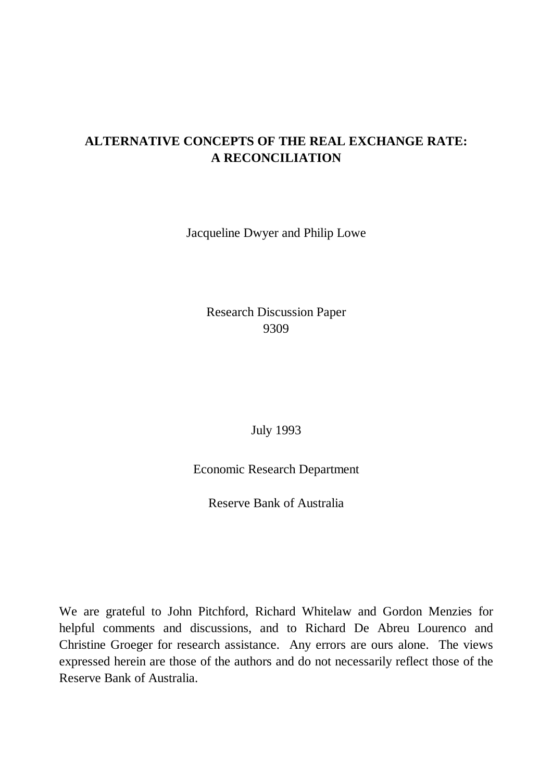# **ALTERNATIVE CONCEPTS OF THE REAL EXCHANGE RATE: A RECONCILIATION**

Jacqueline Dwyer and Philip Lowe

Research Discussion Paper 9309

July 1993

Economic Research Department

Reserve Bank of Australia

We are grateful to John Pitchford, Richard Whitelaw and Gordon Menzies for helpful comments and discussions, and to Richard De Abreu Lourenco and Christine Groeger for research assistance. Any errors are ours alone. The views expressed herein are those of the authors and do not necessarily reflect those of the Reserve Bank of Australia.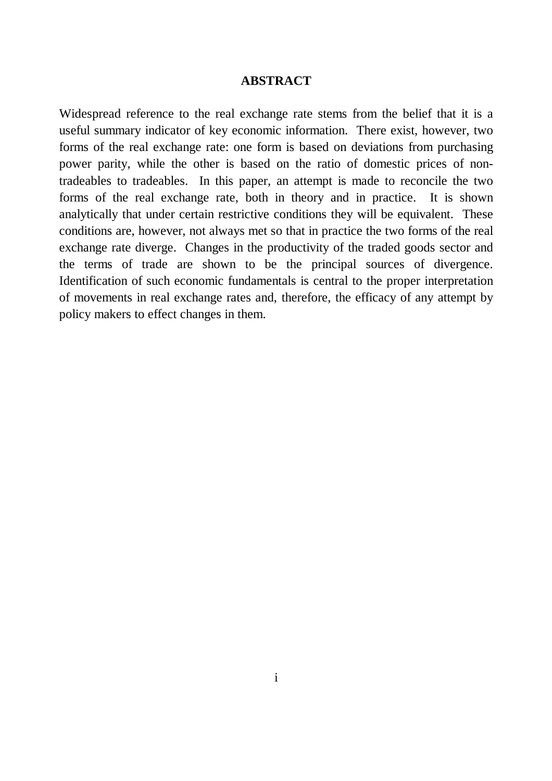#### **ABSTRACT**

Widespread reference to the real exchange rate stems from the belief that it is a useful summary indicator of key economic information. There exist, however, two forms of the real exchange rate: one form is based on deviations from purchasing power parity, while the other is based on the ratio of domestic prices of nontradeables to tradeables. In this paper, an attempt is made to reconcile the two forms of the real exchange rate, both in theory and in practice. It is shown analytically that under certain restrictive conditions they will be equivalent. These conditions are, however, not always met so that in practice the two forms of the real exchange rate diverge. Changes in the productivity of the traded goods sector and the terms of trade are shown to be the principal sources of divergence. Identification of such economic fundamentals is central to the proper interpretation of movements in real exchange rates and, therefore, the efficacy of any attempt by policy makers to effect changes in them.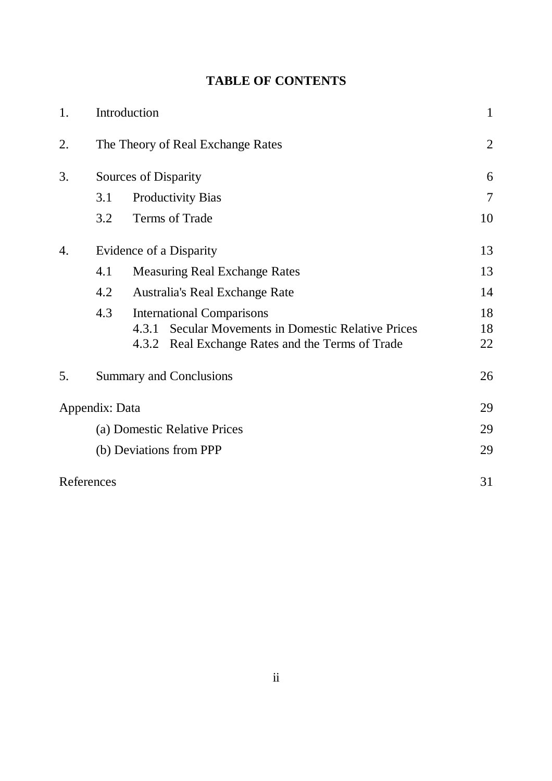|  |  | <b>TABLE OF CONTENTS</b> |
|--|--|--------------------------|
|--|--|--------------------------|

| 1. | Introduction                      |                                                               | $\mathbf{1}$   |
|----|-----------------------------------|---------------------------------------------------------------|----------------|
| 2. | The Theory of Real Exchange Rates |                                                               | $\overline{2}$ |
| 3. |                                   | <b>Sources of Disparity</b>                                   |                |
|    | 3.1                               | <b>Productivity Bias</b>                                      | $\overline{7}$ |
|    | 3.2                               | Terms of Trade                                                | 10             |
| 4. |                                   | Evidence of a Disparity                                       |                |
|    | 4.1                               | <b>Measuring Real Exchange Rates</b>                          |                |
|    | 4.2                               | Australia's Real Exchange Rate                                | 14             |
|    | 4.3                               | <b>International Comparisons</b>                              | 18             |
|    |                                   | <b>Secular Movements in Domestic Relative Prices</b><br>4.3.1 | 18             |
|    |                                   | 4.3.2 Real Exchange Rates and the Terms of Trade              | 22             |
| 5. |                                   | <b>Summary and Conclusions</b>                                | 26             |
|    | Appendix: Data                    |                                                               | 29             |
|    | (a) Domestic Relative Prices      |                                                               | 29             |
|    |                                   | (b) Deviations from PPP                                       | 29             |
|    | References                        |                                                               | 31             |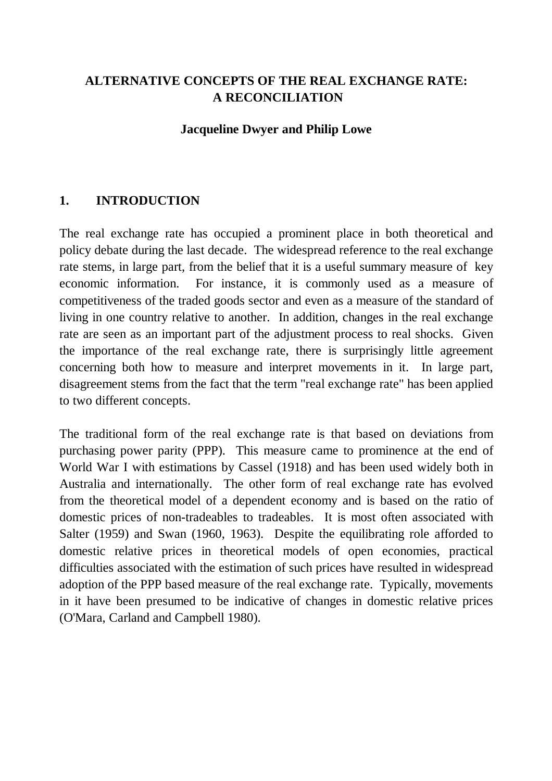## **ALTERNATIVE CONCEPTS OF THE REAL EXCHANGE RATE: A RECONCILIATION**

#### **Jacqueline Dwyer and Philip Lowe**

## **1. INTRODUCTION**

The real exchange rate has occupied a prominent place in both theoretical and policy debate during the last decade. The widespread reference to the real exchange rate stems, in large part, from the belief that it is a useful summary measure of key economic information. For instance, it is commonly used as a measure of competitiveness of the traded goods sector and even as a measure of the standard of living in one country relative to another. In addition, changes in the real exchange rate are seen as an important part of the adjustment process to real shocks. Given the importance of the real exchange rate, there is surprisingly little agreement concerning both how to measure and interpret movements in it. In large part, disagreement stems from the fact that the term "real exchange rate" has been applied to two different concepts.

The traditional form of the real exchange rate is that based on deviations from purchasing power parity (PPP). This measure came to prominence at the end of World War I with estimations by Cassel (1918) and has been used widely both in Australia and internationally. The other form of real exchange rate has evolved from the theoretical model of a dependent economy and is based on the ratio of domestic prices of non-tradeables to tradeables. It is most often associated with Salter (1959) and Swan (1960, 1963). Despite the equilibrating role afforded to domestic relative prices in theoretical models of open economies, practical difficulties associated with the estimation of such prices have resulted in widespread adoption of the PPP based measure of the real exchange rate. Typically, movements in it have been presumed to be indicative of changes in domestic relative prices (O'Mara, Carland and Campbell 1980).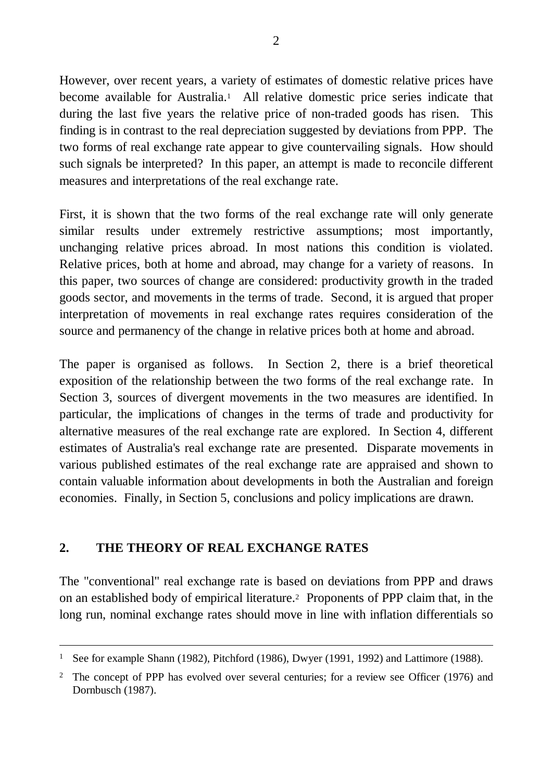However, over recent years, a variety of estimates of domestic relative prices have become available for Australia.<sup>1</sup> All relative domestic price series indicate that during the last five years the relative price of non-traded goods has risen. This finding is in contrast to the real depreciation suggested by deviations from PPP. The two forms of real exchange rate appear to give countervailing signals. How should such signals be interpreted? In this paper, an attempt is made to reconcile different measures and interpretations of the real exchange rate.

First, it is shown that the two forms of the real exchange rate will only generate similar results under extremely restrictive assumptions; most importantly, unchanging relative prices abroad. In most nations this condition is violated. Relative prices, both at home and abroad, may change for a variety of reasons. In this paper, two sources of change are considered: productivity growth in the traded goods sector, and movements in the terms of trade. Second, it is argued that proper interpretation of movements in real exchange rates requires consideration of the source and permanency of the change in relative prices both at home and abroad.

The paper is organised as follows. In Section 2, there is a brief theoretical exposition of the relationship between the two forms of the real exchange rate. In Section 3, sources of divergent movements in the two measures are identified. In particular, the implications of changes in the terms of trade and productivity for alternative measures of the real exchange rate are explored. In Section 4, different estimates of Australia's real exchange rate are presented. Disparate movements in various published estimates of the real exchange rate are appraised and shown to contain valuable information about developments in both the Australian and foreign economies. Finally, in Section 5, conclusions and policy implications are drawn.

### **2. THE THEORY OF REAL EXCHANGE RATES**

-

The "conventional" real exchange rate is based on deviations from PPP and draws on an established body of empirical literature.<sup>2</sup> Proponents of PPP claim that, in the long run, nominal exchange rates should move in line with inflation differentials so

<sup>&</sup>lt;sup>1</sup> See for example Shann (1982), Pitchford (1986), Dwyer (1991, 1992) and Lattimore (1988).

<sup>&</sup>lt;sup>2</sup> The concept of PPP has evolved over several centuries; for a review see Officer (1976) and Dornbusch (1987).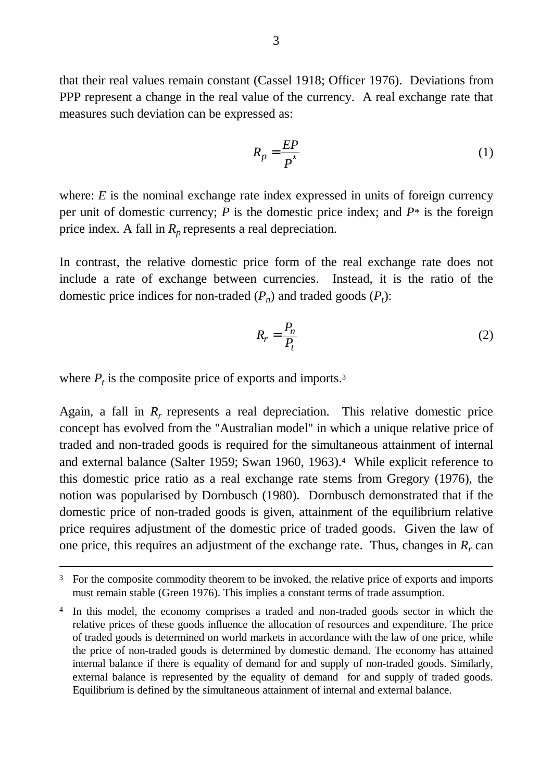that their real values remain constant (Cassel 1918; Officer 1976). Deviations from PPP represent a change in the real value of the currency. A real exchange rate that measures such deviation can be expressed as:

$$
R_p = \frac{EP}{P^*}
$$
 (1)

where: *E* is the nominal exchange rate index expressed in units of foreign currency per unit of domestic currency; *P* is the domestic price index; and *P\** is the foreign price index. A fall in  $R_p$  represents a real depreciation.

In contrast, the relative domestic price form of the real exchange rate does not include a rate of exchange between currencies. Instead, it is the ratio of the domestic price indices for non-traded  $(P_n)$  and traded goods  $(P_t)$ :

$$
R_r = \frac{P_n}{P_t} \tag{2}
$$

where  $P_t$  is the composite price of exports and imports.<sup>3</sup>

 $\overline{a}$ 

Again, a fall in  $R_r$  represents a real depreciation. This relative domestic price concept has evolved from the "Australian model" in which a unique relative price of traded and non-traded goods is required for the simultaneous attainment of internal and external balance (Salter 1959; Swan 1960, 1963).<sup>4</sup> While explicit reference to this domestic price ratio as a real exchange rate stems from Gregory (1976), the notion was popularised by Dornbusch (1980). Dornbusch demonstrated that if the domestic price of non-traded goods is given, attainment of the equilibrium relative price requires adjustment of the domestic price of traded goods. Given the law of one price, this requires an adjustment of the exchange rate. Thus, changes in  $R_r$  can

<sup>&</sup>lt;sup>3</sup> For the composite commodity theorem to be invoked, the relative price of exports and imports must remain stable (Green 1976). This implies a constant terms of trade assumption.

<sup>&</sup>lt;sup>4</sup> In this model, the economy comprises a traded and non-traded goods sector in which the relative prices of these goods influence the allocation of resources and expenditure. The price of traded goods is determined on world markets in accordance with the law of one price, while the price of non-traded goods is determined by domestic demand. The economy has attained internal balance if there is equality of demand for and supply of non-traded goods. Similarly, external balance is represented by the equality of demand for and supply of traded goods. Equilibrium is defined by the simultaneous attainment of internal and external balance.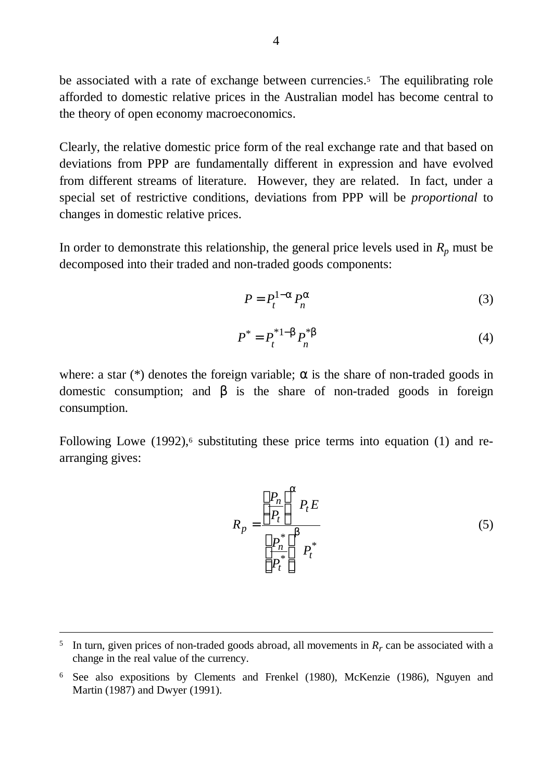be associated with a rate of exchange between currencies.<sup>5</sup> The equilibrating role afforded to domestic relative prices in the Australian model has become central to the theory of open economy macroeconomics.

Clearly, the relative domestic price form of the real exchange rate and that based on deviations from PPP are fundamentally different in expression and have evolved from different streams of literature. However, they are related. In fact, under a special set of restrictive conditions, deviations from PPP will be *proportional* to changes in domestic relative prices.

In order to demonstrate this relationship, the general price levels used in  $R_p$  must be decomposed into their traded and non-traded goods components:

$$
P = P_t^{1-a} P_n^a \tag{3}
$$

$$
P^* = P_t^{*1-b} P_n^{*b} \tag{4}
$$

where: a star (\*) denotes the foreign variable;  $\alpha$  is the share of non-traded goods in domestic consumption; and β is the share of non-traded goods in foreign consumption.

Following Lowe (1992),<sup>6</sup> substituting these price terms into equation (1) and rearranging gives:

$$
R_p = \frac{\left[\frac{P_n}{P_t}\right]^a P_t E}{\left[\frac{P_n^*}{P_t^*}\right]^b P_t^*}
$$
\n(5)

<sup>&</sup>lt;sup>5</sup> In turn, given prices of non-traded goods abroad, all movements in  $R_r$  can be associated with a change in the real value of the currency.

<sup>6</sup> See also expositions by Clements and Frenkel (1980), McKenzie (1986), Nguyen and Martin (1987) and Dwyer (1991).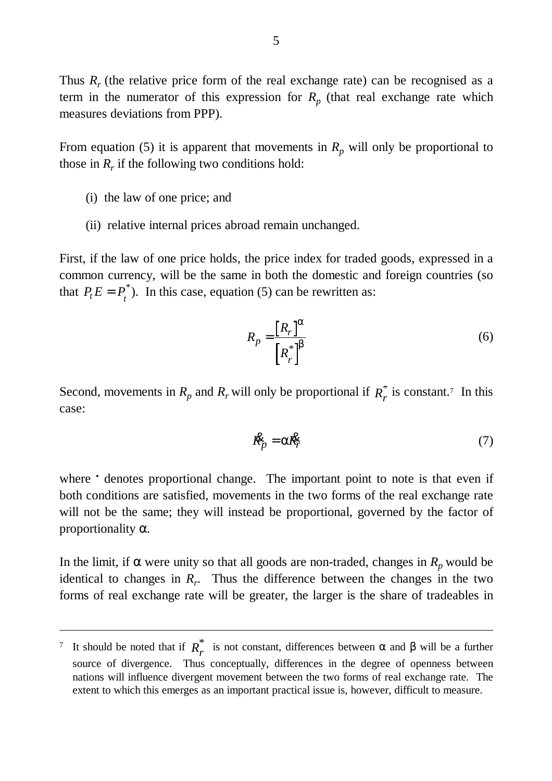Thus  $R_r$  (the relative price form of the real exchange rate) can be recognised as a term in the numerator of this expression for  $R_p$  (that real exchange rate which measures deviations from PPP).

From equation (5) it is apparent that movements in  $R_p$  will only be proportional to those in  $R_r$  if the following two conditions hold:

(i) the law of one price; and

-

(ii) relative internal prices abroad remain unchanged.

First, if the law of one price holds, the price index for traded goods, expressed in a common currency, will be the same in both the domestic and foreign countries (so that  $P_t E = P_t^*$ ). In this case, equation (5) can be rewritten as:

$$
R_p = \frac{[R_r]^a}{[R_r^*]^b}
$$
 (6)

Second, movements in  $R_p$  and  $R_r$  will only be proportional if  $R_r^*$  is constant.<sup>7</sup> In this case:

$$
\mathbf{R}_p^{\mathbf{S}} = \mathbf{a} \mathbf{R}_r^{\mathbf{S}} \tag{7}
$$

where **t** denotes proportional change. The important point to note is that even if both conditions are satisfied, movements in the two forms of the real exchange rate will not be the same; they will instead be proportional, governed by the factor of proportionality α.

In the limit, if  $\alpha$  were unity so that all goods are non-traded, changes in  $R_p$  would be identical to changes in  $R_r$ . Thus the difference between the changes in the two forms of real exchange rate will be greater, the larger is the share of tradeables in

<sup>&</sup>lt;sup>7</sup> It should be noted that if  $R_r^*$  is not constant, differences between α and β will be a further source of divergence. Thus conceptually, differences in the degree of openness between nations will influence divergent movement between the two forms of real exchange rate. The extent to which this emerges as an important practical issue is, however, difficult to measure.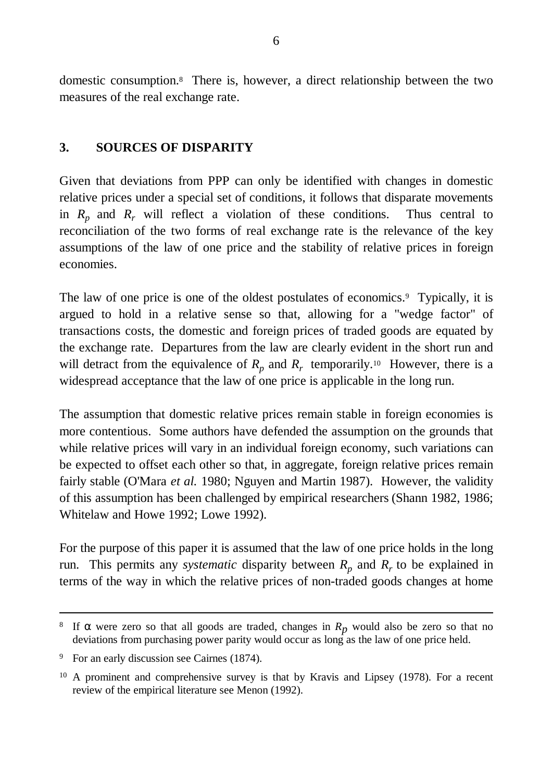domestic consumption.<sup>8</sup> There is, however, a direct relationship between the two measures of the real exchange rate.

#### **3. SOURCES OF DISPARITY**

Given that deviations from PPP can only be identified with changes in domestic relative prices under a special set of conditions, it follows that disparate movements in  $R_p$  and  $R_r$  will reflect a violation of these conditions. Thus central to reconciliation of the two forms of real exchange rate is the relevance of the key assumptions of the law of one price and the stability of relative prices in foreign economies.

The law of one price is one of the oldest postulates of economics.<sup>9</sup> Typically, it is argued to hold in a relative sense so that, allowing for a "wedge factor" of transactions costs, the domestic and foreign prices of traded goods are equated by the exchange rate. Departures from the law are clearly evident in the short run and will detract from the equivalence of  $R_p$  and  $R_r$  temporarily.<sup>10</sup> However, there is a widespread acceptance that the law of one price is applicable in the long run.

The assumption that domestic relative prices remain stable in foreign economies is more contentious. Some authors have defended the assumption on the grounds that while relative prices will vary in an individual foreign economy, such variations can be expected to offset each other so that, in aggregate, foreign relative prices remain fairly stable (O'Mara *et al.* 1980; Nguyen and Martin 1987). However, the validity of this assumption has been challenged by empirical researchers (Shann 1982, 1986; Whitelaw and Howe 1992; Lowe 1992).

For the purpose of this paper it is assumed that the law of one price holds in the long run. This permits any *systematic* disparity between  $R_p$  and  $R_r$  to be explained in terms of the way in which the relative prices of non-traded goods changes at home

<sup>&</sup>lt;sup>8</sup> If  $\alpha$  were zero so that all goods are traded, changes in  $R_p$  would also be zero so that no deviations from purchasing power parity would occur as long as the law of one price held.

<sup>&</sup>lt;sup>9</sup> For an early discussion see Cairnes (1874).

<sup>10</sup> A prominent and comprehensive survey is that by Kravis and Lipsey (1978). For a recent review of the empirical literature see Menon (1992).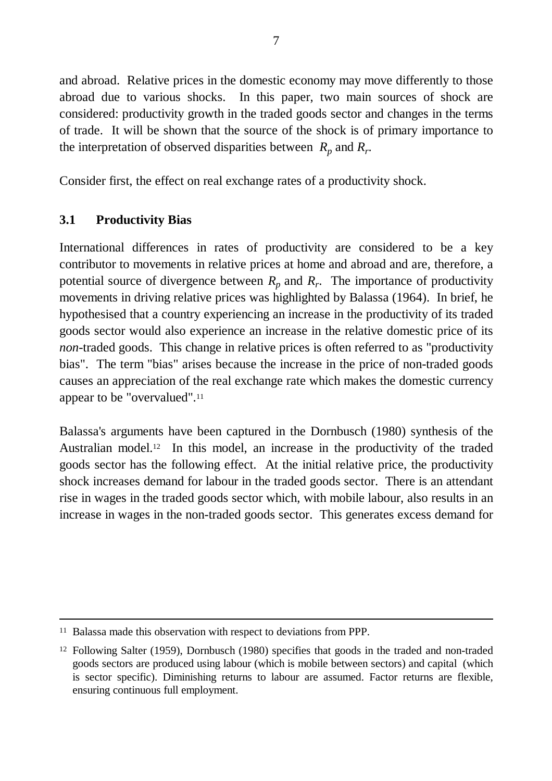and abroad. Relative prices in the domestic economy may move differently to those abroad due to various shocks. In this paper, two main sources of shock are considered: productivity growth in the traded goods sector and changes in the terms of trade. It will be shown that the source of the shock is of primary importance to the interpretation of observed disparities between  $R_p$  and  $R_r$ .

Consider first, the effect on real exchange rates of a productivity shock.

## **3.1 Productivity Bias**

-

International differences in rates of productivity are considered to be a key contributor to movements in relative prices at home and abroad and are, therefore, a potential source of divergence between  $R_p$  and  $R_r$ . The importance of productivity movements in driving relative prices was highlighted by Balassa (1964). In brief, he hypothesised that a country experiencing an increase in the productivity of its traded goods sector would also experience an increase in the relative domestic price of its *non*-traded goods. This change in relative prices is often referred to as "productivity bias". The term "bias" arises because the increase in the price of non-traded goods causes an appreciation of the real exchange rate which makes the domestic currency appear to be "overvalued".<sup>11</sup>

Balassa's arguments have been captured in the Dornbusch (1980) synthesis of the Australian model.<sup>12</sup> In this model, an increase in the productivity of the traded goods sector has the following effect. At the initial relative price, the productivity shock increases demand for labour in the traded goods sector. There is an attendant rise in wages in the traded goods sector which, with mobile labour, also results in an increase in wages in the non-traded goods sector. This generates excess demand for

<sup>11</sup> Balassa made this observation with respect to deviations from PPP.

<sup>&</sup>lt;sup>12</sup> Following Salter (1959), Dornbusch (1980) specifies that goods in the traded and non-traded goods sectors are produced using labour (which is mobile between sectors) and capital (which is sector specific). Diminishing returns to labour are assumed. Factor returns are flexible, ensuring continuous full employment.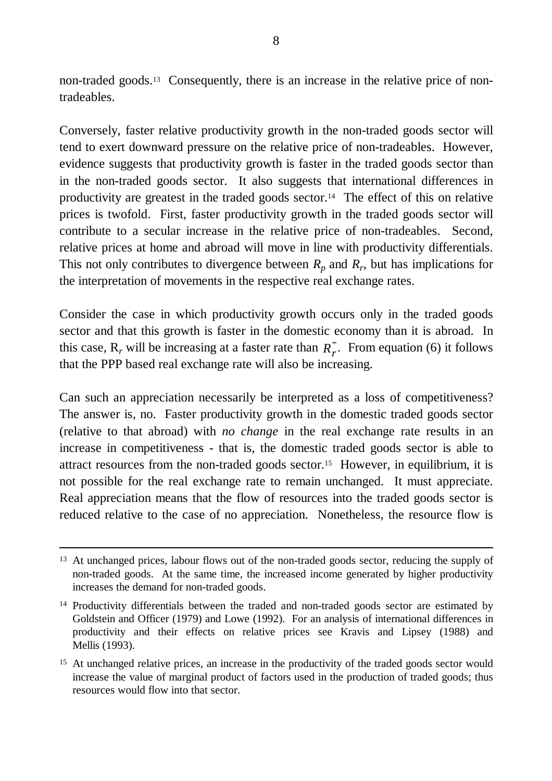non-traded goods.13 Consequently, there is an increase in the relative price of nontradeables.

Conversely, faster relative productivity growth in the non-traded goods sector will tend to exert downward pressure on the relative price of non-tradeables. However, evidence suggests that productivity growth is faster in the traded goods sector than in the non-traded goods sector. It also suggests that international differences in productivity are greatest in the traded goods sector.14 The effect of this on relative prices is twofold. First, faster productivity growth in the traded goods sector will contribute to a secular increase in the relative price of non-tradeables. Second, relative prices at home and abroad will move in line with productivity differentials. This not only contributes to divergence between  $R_p$  and  $R_r$ , but has implications for the interpretation of movements in the respective real exchange rates.

Consider the case in which productivity growth occurs only in the traded goods sector and that this growth is faster in the domestic economy than it is abroad. In this case,  $R_r$  will be increasing at a faster rate than  $R_r^*$ . From equation (6) it follows that the PPP based real exchange rate will also be increasing.

Can such an appreciation necessarily be interpreted as a loss of competitiveness? The answer is, no. Faster productivity growth in the domestic traded goods sector (relative to that abroad) with *no change* in the real exchange rate results in an increase in competitiveness - that is, the domestic traded goods sector is able to attract resources from the non-traded goods sector.15 However, in equilibrium, it is not possible for the real exchange rate to remain unchanged. It must appreciate. Real appreciation means that the flow of resources into the traded goods sector is reduced relative to the case of no appreciation. Nonetheless, the resource flow is

<sup>&</sup>lt;sup>13</sup> At unchanged prices, labour flows out of the non-traded goods sector, reducing the supply of non-traded goods. At the same time, the increased income generated by higher productivity increases the demand for non-traded goods.

<sup>&</sup>lt;sup>14</sup> Productivity differentials between the traded and non-traded goods sector are estimated by Goldstein and Officer (1979) and Lowe (1992). For an analysis of international differences in productivity and their effects on relative prices see Kravis and Lipsey (1988) and Mellis (1993).

<sup>&</sup>lt;sup>15</sup> At unchanged relative prices, an increase in the productivity of the traded goods sector would increase the value of marginal product of factors used in the production of traded goods; thus resources would flow into that sector.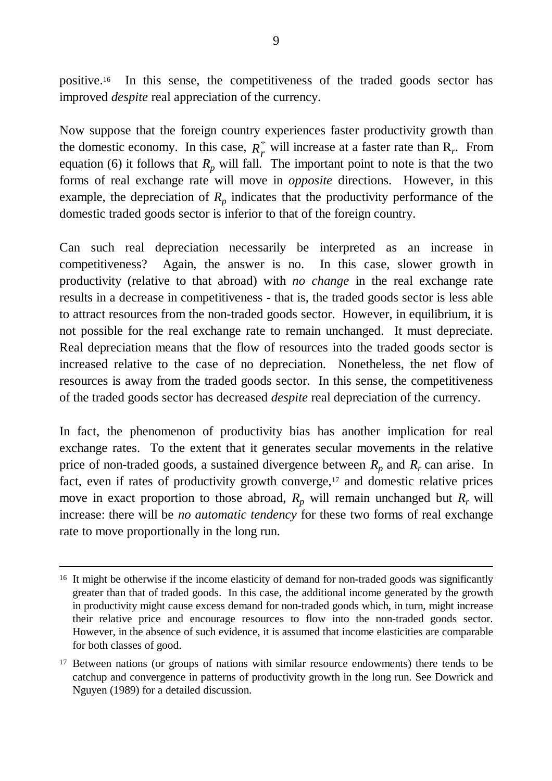positive.16 In this sense, the competitiveness of the traded goods sector has improved *despite* real appreciation of the currency.

Now suppose that the foreign country experiences faster productivity growth than the domestic economy. In this case,  $R_r^*$  will increase at a faster rate than  $R_r$ . From equation (6) it follows that  $R_p$  will fall. The important point to note is that the two forms of real exchange rate will move in *opposite* directions. However, in this example, the depreciation of  $R_p$  indicates that the productivity performance of the domestic traded goods sector is inferior to that of the foreign country.

Can such real depreciation necessarily be interpreted as an increase in competitiveness? Again, the answer is no. In this case, slower growth in productivity (relative to that abroad) with *no change* in the real exchange rate results in a decrease in competitiveness - that is, the traded goods sector is less able to attract resources from the non-traded goods sector. However, in equilibrium, it is not possible for the real exchange rate to remain unchanged. It must depreciate. Real depreciation means that the flow of resources into the traded goods sector is increased relative to the case of no depreciation. Nonetheless, the net flow of resources is away from the traded goods sector. In this sense, the competitiveness of the traded goods sector has decreased *despite* real depreciation of the currency.

In fact, the phenomenon of productivity bias has another implication for real exchange rates. To the extent that it generates secular movements in the relative price of non-traded goods, a sustained divergence between  $R_p$  and  $R_r$  can arise. In fact, even if rates of productivity growth converge,<sup>17</sup> and domestic relative prices move in exact proportion to those abroad,  $R_p$  will remain unchanged but  $R_r$  will increase: there will be *no automatic tendency* for these two forms of real exchange rate to move proportionally in the long run.

 $\overline{a}$ 

<sup>&</sup>lt;sup>16</sup> It might be otherwise if the income elasticity of demand for non-traded goods was significantly greater than that of traded goods. In this case, the additional income generated by the growth in productivity might cause excess demand for non-traded goods which, in turn, might increase their relative price and encourage resources to flow into the non-traded goods sector. However, in the absence of such evidence, it is assumed that income elasticities are comparable for both classes of good.

<sup>&</sup>lt;sup>17</sup> Between nations (or groups of nations with similar resource endowments) there tends to be catchup and convergence in patterns of productivity growth in the long run. See Dowrick and Nguyen (1989) for a detailed discussion.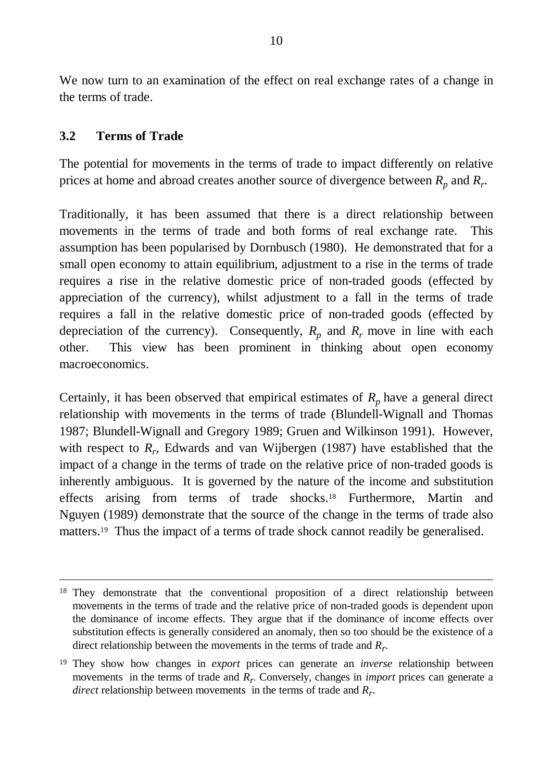We now turn to an examination of the effect on real exchange rates of a change in the terms of trade.

#### **3.2 Terms of Trade**

-

The potential for movements in the terms of trade to impact differently on relative prices at home and abroad creates another source of divergence between  $R_p$  and  $R_r$ .

Traditionally, it has been assumed that there is a direct relationship between movements in the terms of trade and both forms of real exchange rate. This assumption has been popularised by Dornbusch (1980). He demonstrated that for a small open economy to attain equilibrium, adjustment to a rise in the terms of trade requires a rise in the relative domestic price of non-traded goods (effected by appreciation of the currency), whilst adjustment to a fall in the terms of trade requires a fall in the relative domestic price of non-traded goods (effected by depreciation of the currency). Consequently,  $R_p$  and  $R_r$  move in line with each other. This view has been prominent in thinking about open economy macroeconomics.

Certainly, it has been observed that empirical estimates of  $R_p$  have a general direct relationship with movements in the terms of trade (Blundell-Wignall and Thomas 1987; Blundell-Wignall and Gregory 1989; Gruen and Wilkinson 1991). However, with respect to  $R_r$ , Edwards and van Wijbergen (1987) have established that the impact of a change in the terms of trade on the relative price of non-traded goods is inherently ambiguous. It is governed by the nature of the income and substitution effects arising from terms of trade shocks.18 Furthermore, Martin and Nguyen (1989) demonstrate that the source of the change in the terms of trade also matters.<sup>19</sup> Thus the impact of a terms of trade shock cannot readily be generalised.

<sup>&</sup>lt;sup>18</sup> They demonstrate that the conventional proposition of a direct relationship between movements in the terms of trade and the relative price of non-traded goods is dependent upon the dominance of income effects. They argue that if the dominance of income effects over substitution effects is generally considered an anomaly, then so too should be the existence of a direct relationship between the movements in the terms of trade and *R<sup>r</sup>* .

<sup>19</sup> They show how changes in *export* prices can generate an *inverse* relationship between movements in the terms of trade and  $R_r$ . Conversely, changes in *import* prices can generate a *direct* relationship between movements in the terms of trade and *R<sup>r</sup>* .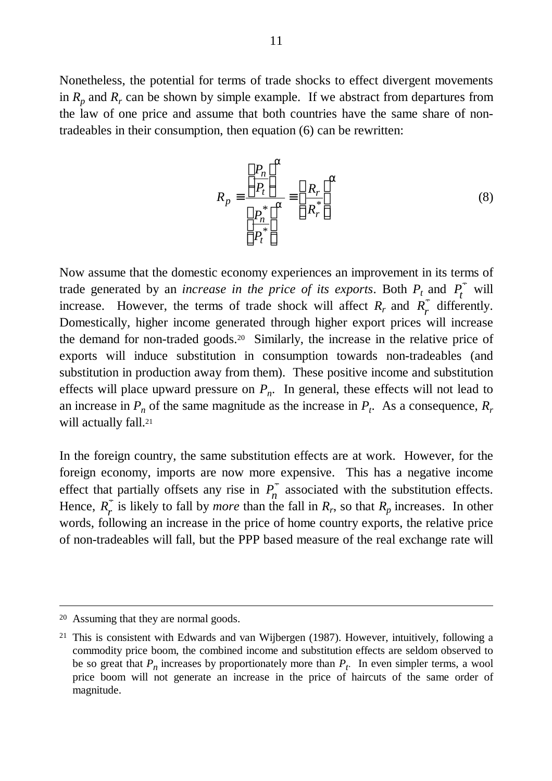Nonetheless, the potential for terms of trade shocks to effect divergent movements in  $R_p$  and  $R_r$  can be shown by simple example. If we abstract from departures from the law of one price and assume that both countries have the same share of nontradeables in their consumption, then equation (6) can be rewritten:

$$
R_p \equiv \frac{\left[\frac{P_n}{P_t}\right]^a}{\left[\frac{P_n^*}{P_t^*}\right]^a} \equiv \left[\frac{R_r}{R_r^*}\right]^a
$$
\n(8)

Now assume that the domestic economy experiences an improvement in its terms of trade generated by an *increase in the price of its exports*. Both  $P_t$  and  $P_t^*$  will increase. However, the terms of trade shock will affect  $R_r$  and  $R_r^2$  $\int_{r}^{r}$  differently. Domestically, higher income generated through higher export prices will increase the demand for non-traded goods.20 Similarly, the increase in the relative price of exports will induce substitution in consumption towards non-tradeables (and substitution in production away from them). These positive income and substitution effects will place upward pressure on  $P_n$ . In general, these effects will not lead to an increase in  $P_n$  of the same magnitude as the increase in  $P_t$ . As a consequence,  $R_r$ will actually fall.<sup>21</sup>

In the foreign country, the same substitution effects are at work. However, for the foreign economy, imports are now more expensive. This has a negative income effect that partially offsets any rise in *P n*  $\int_a^{\infty}$  associated with the substitution effects. Hence, *R r*  $\int_{r}^{\pi}$  is likely to fall by *more* than the fall in  $R_r$ , so that  $R_p$  increases. In other words, following an increase in the price of home country exports, the relative price of non-tradeables will fall, but the PPP based measure of the real exchange rate will

<sup>20</sup> Assuming that they are normal goods.

<sup>21</sup> This is consistent with Edwards and van Wijbergen (1987). However, intuitively, following a commodity price boom, the combined income and substitution effects are seldom observed to be so great that  $P_n$  increases by proportionately more than  $P_t$ . In even simpler terms, a wool price boom will not generate an increase in the price of haircuts of the same order of magnitude.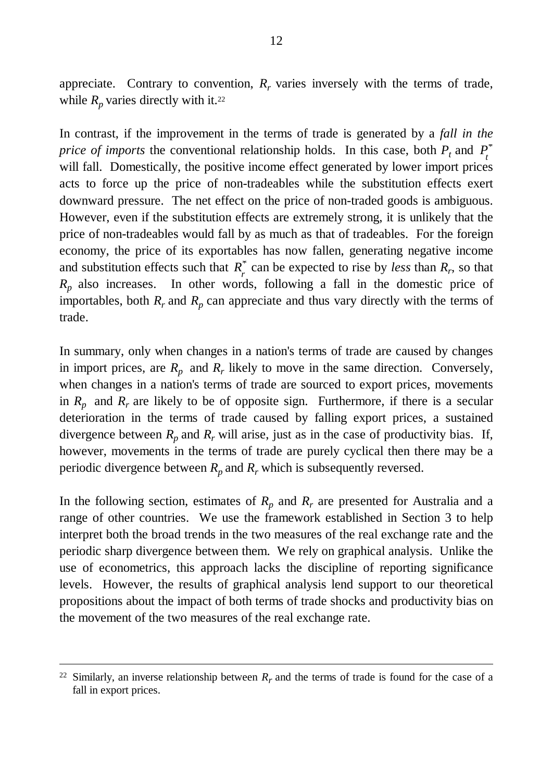appreciate. Contrary to convention,  $R_r$  varies inversely with the terms of trade, while  $R_p$  varies directly with it.<sup>22</sup>

In contrast, if the improvement in the terms of trade is generated by a *fall in the price of imports* the conventional relationship holds. In this case, both  $P_t$  and  $P_t$ \* will fall. Domestically, the positive income effect generated by lower import prices acts to force up the price of non-tradeables while the substitution effects exert downward pressure. The net effect on the price of non-traded goods is ambiguous. However, even if the substitution effects are extremely strong, it is unlikely that the price of non-tradeables would fall by as much as that of tradeables. For the foreign economy, the price of its exportables has now fallen, generating negative income and substitution effects such that  $R_r^*$  can be expected to rise by *less* than  $R_r$ , so that *Rp* also increases. In other words, following a fall in the domestic price of importables, both  $R_r$  and  $R_p$  can appreciate and thus vary directly with the terms of trade.

In summary, only when changes in a nation's terms of trade are caused by changes in import prices, are  $R_p$  and  $R_r$  likely to move in the same direction. Conversely, when changes in a nation's terms of trade are sourced to export prices, movements in  $R_p$  and  $R_r$  are likely to be of opposite sign. Furthermore, if there is a secular deterioration in the terms of trade caused by falling export prices, a sustained divergence between  $R_p$  and  $R_r$  will arise, just as in the case of productivity bias. If, however, movements in the terms of trade are purely cyclical then there may be a periodic divergence between  $R_p$  and  $R_r$  which is subsequently reversed.

In the following section, estimates of  $R_p$  and  $R_r$  are presented for Australia and a range of other countries. We use the framework established in Section 3 to help interpret both the broad trends in the two measures of the real exchange rate and the periodic sharp divergence between them. We rely on graphical analysis. Unlike the use of econometrics, this approach lacks the discipline of reporting significance levels. However, the results of graphical analysis lend support to our theoretical propositions about the impact of both terms of trade shocks and productivity bias on the movement of the two measures of the real exchange rate.

<sup>&</sup>lt;sup>22</sup> Similarly, an inverse relationship between  $R_r$  and the terms of trade is found for the case of a fall in export prices.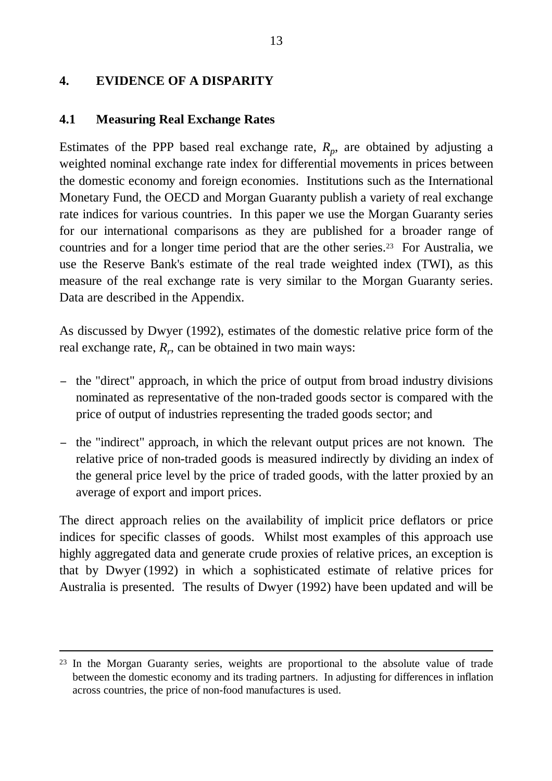## **4. EVIDENCE OF A DISPARITY**

### **4.1 Measuring Real Exchange Rates**

-

Estimates of the PPP based real exchange rate,  $R_p$ , are obtained by adjusting a weighted nominal exchange rate index for differential movements in prices between the domestic economy and foreign economies. Institutions such as the International Monetary Fund, the OECD and Morgan Guaranty publish a variety of real exchange rate indices for various countries. In this paper we use the Morgan Guaranty series for our international comparisons as they are published for a broader range of countries and for a longer time period that are the other series.23 For Australia, we use the Reserve Bank's estimate of the real trade weighted index (TWI), as this measure of the real exchange rate is very similar to the Morgan Guaranty series. Data are described in the Appendix.

As discussed by Dwyer (1992), estimates of the domestic relative price form of the real exchange rate, *R<sup>r</sup>* , can be obtained in two main ways:

- − the "direct" approach, in which the price of output from broad industry divisions nominated as representative of the non-traded goods sector is compared with the price of output of industries representing the traded goods sector; and
- − the "indirect" approach, in which the relevant output prices are not known. The relative price of non-traded goods is measured indirectly by dividing an index of the general price level by the price of traded goods, with the latter proxied by an average of export and import prices.

The direct approach relies on the availability of implicit price deflators or price indices for specific classes of goods. Whilst most examples of this approach use highly aggregated data and generate crude proxies of relative prices, an exception is that by Dwyer (1992) in which a sophisticated estimate of relative prices for Australia is presented. The results of Dwyer (1992) have been updated and will be

<sup>&</sup>lt;sup>23</sup> In the Morgan Guaranty series, weights are proportional to the absolute value of trade between the domestic economy and its trading partners. In adjusting for differences in inflation across countries, the price of non-food manufactures is used.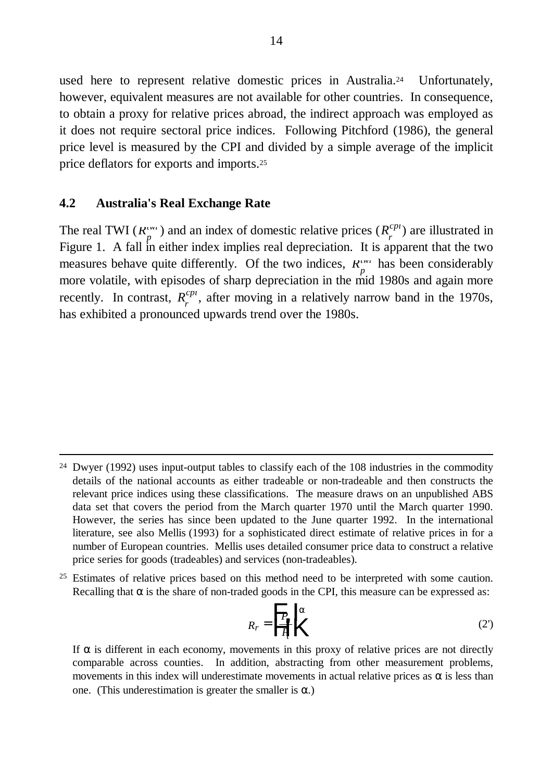used here to represent relative domestic prices in Australia.24 Unfortunately, however, equivalent measures are not available for other countries. In consequence, to obtain a proxy for relative prices abroad, the indirect approach was employed as it does not require sectoral price indices. Following Pitchford (1986), the general price level is measured by the CPI and divided by a simple average of the implicit price deflators for exports and imports.<sup>25</sup>

#### **4.2 Australia's Real Exchange Rate**

 $\overline{a}$ 

The real TWI ( $R_p^{\mu\nu}$ ) and an index of domestic relative prices ( $R_r^{cp}$ ) are illustrated in Figure 1. A fall in either index implies real depreciation. It is apparent that the two measures behave quite differently. Of the two indices,  $R_{p}^{i m}$  has been considerably more volatile, with episodes of sharp depreciation in the mid 1980s and again more recently. In contrast,  $R_r^{cpt}$ , after moving in a relatively narrow band in the 1970s, has exhibited a pronounced upwards trend over the 1980s.

<sup>25</sup> Estimates of relative prices based on this method need to be interpreted with some caution. Recalling that  $\alpha$  is the share of non-traded goods in the CPI, this measure can be expressed as:

$$
R_r = \frac{P}{H} \begin{bmatrix} a \\ c \end{bmatrix} \tag{2'}
$$

If  $\alpha$  is different in each economy, movements in this proxy of relative prices are not directly comparable across counties. In addition, abstracting from other measurement problems, movements in this index will underestimate movements in actual relative prices as  $\alpha$  is less than one. (This underestimation is greater the smaller is  $\alpha$ .)

<sup>24</sup> Dwyer (1992) uses input-output tables to classify each of the 108 industries in the commodity details of the national accounts as either tradeable or non-tradeable and then constructs the relevant price indices using these classifications. The measure draws on an unpublished ABS data set that covers the period from the March quarter 1970 until the March quarter 1990. However, the series has since been updated to the June quarter 1992. In the international literature, see also Mellis (1993) for a sophisticated direct estimate of relative prices in for a number of European countries. Mellis uses detailed consumer price data to construct a relative price series for goods (tradeables) and services (non-tradeables).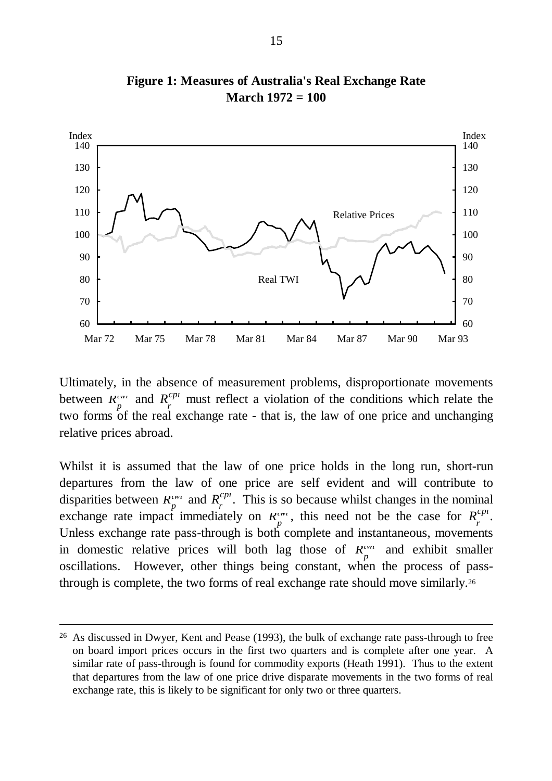

**Figure 1: Measures of Australia's Real Exchange Rate March 1972 = 100**

Ultimately, in the absence of measurement problems, disproportionate movements between  $R_p^{i m}$  and  $R_r^{c p i}$  must reflect a violation of the conditions which relate the two forms of the real exchange rate - that is, the law of one price and unchanging relative prices abroad.

Whilst it is assumed that the law of one price holds in the long run, short-run departures from the law of one price are self evident and will contribute to disparities between  $R_p^{(m)}$  and  $R_r^{(p)}$ . This is so because whilst changes in the nominal exchange rate impact immediately on  $R_p^{\mu\nu}$ , this need not be the case for  $R_r^{cpn}$ . Unless exchange rate pass-through is both complete and instantaneous, movements in domestic relative prices will both lag those of  $R_{\perp}^{(m)}$  and exhibit smaller *p* oscillations. However, other things being constant, when the process of passthrough is complete, the two forms of real exchange rate should move similarly.<sup>26</sup>

<sup>26</sup> As discussed in Dwyer, Kent and Pease (1993), the bulk of exchange rate pass-through to free on board import prices occurs in the first two quarters and is complete after one year. A similar rate of pass-through is found for commodity exports (Heath 1991). Thus to the extent that departures from the law of one price drive disparate movements in the two forms of real exchange rate, this is likely to be significant for only two or three quarters.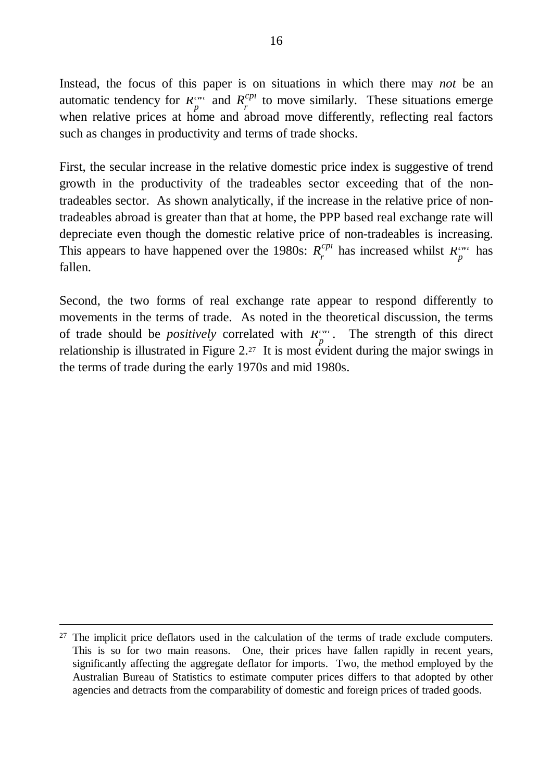Instead, the focus of this paper is on situations in which there may *not* be an automatic tendency for  $R_p^{i w_i}$  and  $R_r^{c p_i}$  to move similarly. These situations emerge when relative prices at home and abroad move differently, reflecting real factors such as changes in productivity and terms of trade shocks.

First, the secular increase in the relative domestic price index is suggestive of trend growth in the productivity of the tradeables sector exceeding that of the nontradeables sector. As shown analytically, if the increase in the relative price of nontradeables abroad is greater than that at home, the PPP based real exchange rate will depreciate even though the domestic relative price of non-tradeables is increasing. This appears to have happened over the 1980s:  $R_r^{cp_l}$  has increased whilst  $R_r^{rw_l}$  has fallen.

Second, the two forms of real exchange rate appear to respond differently to movements in the terms of trade. As noted in the theoretical discussion, the terms of trade should be *positively* correlated with  $R_p^{\mu\nu}$ . The strength of this direct relationship is illustrated in Figure  $2^{27}$  It is most evident during the major swings in the terms of trade during the early 1970s and mid 1980s.

<sup>&</sup>lt;sup>27</sup> The implicit price deflators used in the calculation of the terms of trade exclude computers. This is so for two main reasons. One, their prices have fallen rapidly in recent years, significantly affecting the aggregate deflator for imports. Two, the method employed by the Australian Bureau of Statistics to estimate computer prices differs to that adopted by other agencies and detracts from the comparability of domestic and foreign prices of traded goods.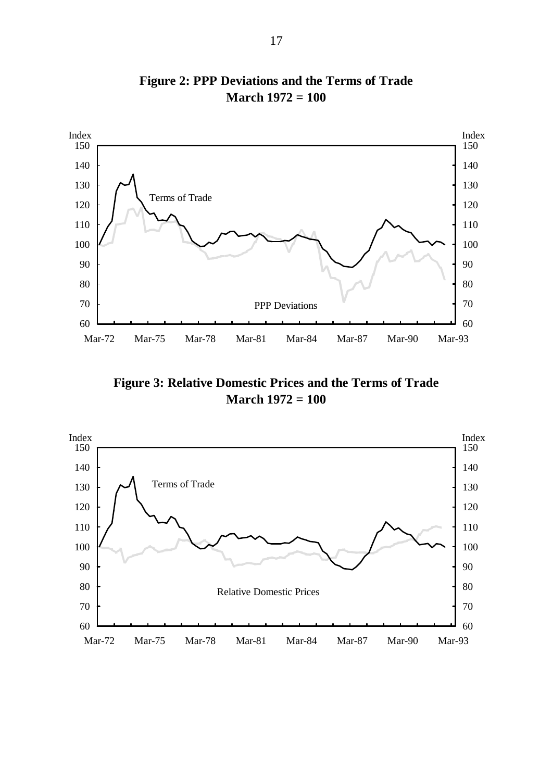

**Figure 2: PPP Deviations and the Terms of Trade March 1972 = 100**

**Figure 3: Relative Domestic Prices and the Terms of Trade March 1972 = 100**

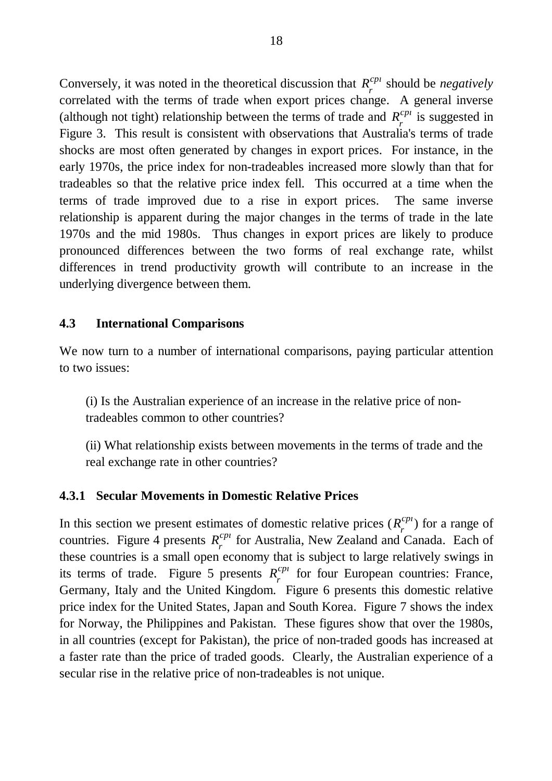Conversely, it was noted in the theoretical discussion that  $R_r^{cp}$  should be *negatively* correlated with the terms of trade when export prices change. A general inverse (although not tight) relationship between the terms of trade and  $R_r^{cpt}$  is suggested in Figure 3. This result is consistent with observations that Australia's terms of trade shocks are most often generated by changes in export prices. For instance, in the early 1970s, the price index for non-tradeables increased more slowly than that for tradeables so that the relative price index fell. This occurred at a time when the terms of trade improved due to a rise in export prices. The same inverse relationship is apparent during the major changes in the terms of trade in the late 1970s and the mid 1980s. Thus changes in export prices are likely to produce pronounced differences between the two forms of real exchange rate, whilst differences in trend productivity growth will contribute to an increase in the underlying divergence between them.

### **4.3 International Comparisons**

We now turn to a number of international comparisons, paying particular attention to two issues:

(i) Is the Australian experience of an increase in the relative price of nontradeables common to other countries?

(ii) What relationship exists between movements in the terms of trade and the real exchange rate in other countries?

### **4.3.1 Secular Movements in Domestic Relative Prices**

In this section we present estimates of domestic relative prices  $(R_r^{cp_l})$  for a range of countries. Figure 4 presents  $R_r^{cpt}$  for Australia, New Zealand and Canada. Each of these countries is a small open economy that is subject to large relatively swings in its terms of trade. Figure 5 presents  $R_r^{cpn}$  for four European countries: France, Germany, Italy and the United Kingdom. Figure 6 presents this domestic relative price index for the United States, Japan and South Korea. Figure 7 shows the index for Norway, the Philippines and Pakistan. These figures show that over the 1980s, in all countries (except for Pakistan), the price of non-traded goods has increased at a faster rate than the price of traded goods. Clearly, the Australian experience of a secular rise in the relative price of non-tradeables is not unique.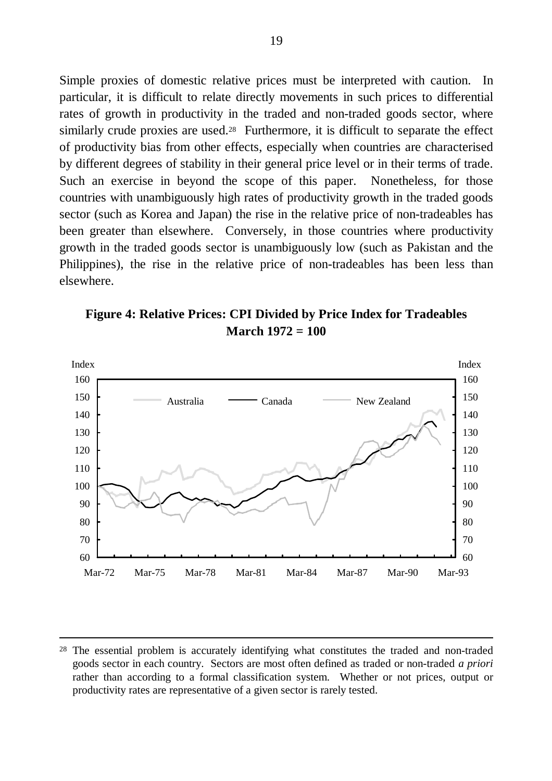Simple proxies of domestic relative prices must be interpreted with caution. In particular, it is difficult to relate directly movements in such prices to differential rates of growth in productivity in the traded and non-traded goods sector, where similarly crude proxies are used.<sup>28</sup> Furthermore, it is difficult to separate the effect of productivity bias from other effects, especially when countries are characterised by different degrees of stability in their general price level or in their terms of trade. Such an exercise in beyond the scope of this paper. Nonetheless, for those countries with unambiguously high rates of productivity growth in the traded goods sector (such as Korea and Japan) the rise in the relative price of non-tradeables has been greater than elsewhere. Conversely, in those countries where productivity growth in the traded goods sector is unambiguously low (such as Pakistan and the Philippines), the rise in the relative price of non-tradeables has been less than elsewhere.

**Figure 4: Relative Prices: CPI Divided by Price Index for Tradeables March 1972 = 100**



<sup>&</sup>lt;sup>28</sup> The essential problem is accurately identifying what constitutes the traded and non-traded goods sector in each country. Sectors are most often defined as traded or non-traded *a priori* rather than according to a formal classification system. Whether or not prices, output or productivity rates are representative of a given sector is rarely tested.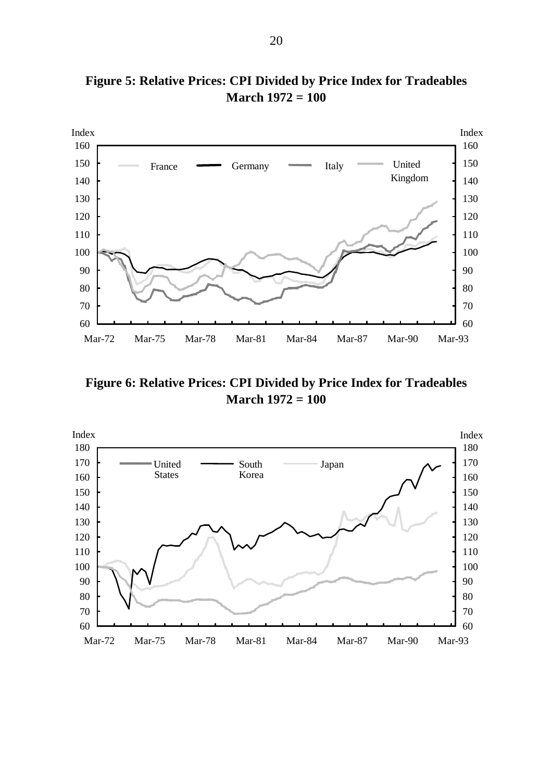

**Figure 5: Relative Prices: CPI Divided by Price Index for Tradeables March 1972 = 100**

**Figure 6: Relative Prices: CPI Divided by Price Index for Tradeables March 1972 = 100**

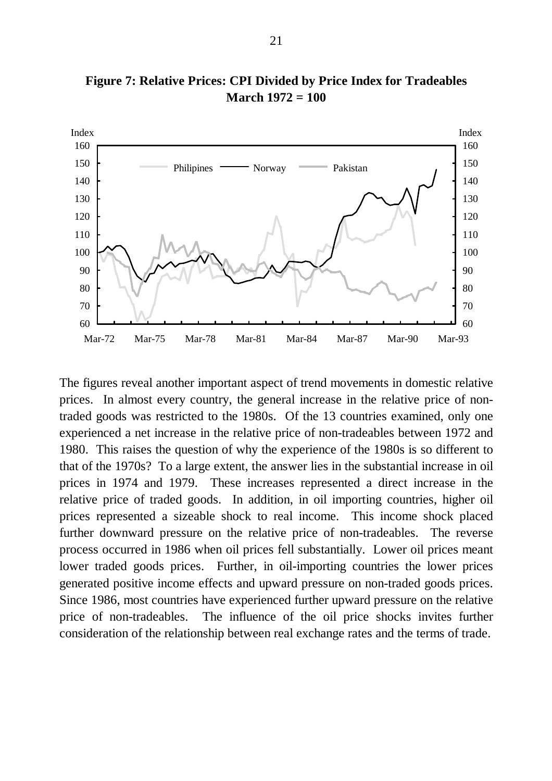

**Figure 7: Relative Prices: CPI Divided by Price Index for Tradeables March 1972 = 100**

The figures reveal another important aspect of trend movements in domestic relative prices. In almost every country, the general increase in the relative price of nontraded goods was restricted to the 1980s. Of the 13 countries examined, only one experienced a net increase in the relative price of non-tradeables between 1972 and 1980. This raises the question of why the experience of the 1980s is so different to that of the 1970s? To a large extent, the answer lies in the substantial increase in oil prices in 1974 and 1979. These increases represented a direct increase in the relative price of traded goods. In addition, in oil importing countries, higher oil prices represented a sizeable shock to real income. This income shock placed further downward pressure on the relative price of non-tradeables. The reverse process occurred in 1986 when oil prices fell substantially. Lower oil prices meant lower traded goods prices. Further, in oil-importing countries the lower prices generated positive income effects and upward pressure on non-traded goods prices. Since 1986, most countries have experienced further upward pressure on the relative price of non-tradeables. The influence of the oil price shocks invites further consideration of the relationship between real exchange rates and the terms of trade.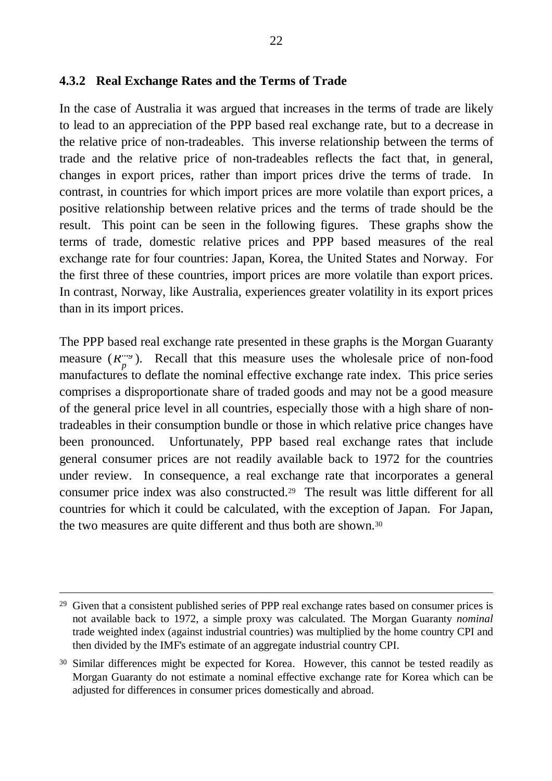#### **4.3.2 Real Exchange Rates and the Terms of Trade**

In the case of Australia it was argued that increases in the terms of trade are likely to lead to an appreciation of the PPP based real exchange rate, but to a decrease in the relative price of non-tradeables. This inverse relationship between the terms of trade and the relative price of non-tradeables reflects the fact that, in general, changes in export prices, rather than import prices drive the terms of trade. In contrast, in countries for which import prices are more volatile than export prices, a positive relationship between relative prices and the terms of trade should be the result. This point can be seen in the following figures. These graphs show the terms of trade, domestic relative prices and PPP based measures of the real exchange rate for four countries: Japan, Korea, the United States and Norway. For the first three of these countries, import prices are more volatile than export prices. In contrast, Norway, like Australia, experiences greater volatility in its export prices than in its import prices.

The PPP based real exchange rate presented in these graphs is the Morgan Guaranty measure  $(R_{p}^{\text{max}})$ . Recall that this measure uses the wholesale price of non-food manufactures to deflate the nominal effective exchange rate index. This price series comprises a disproportionate share of traded goods and may not be a good measure of the general price level in all countries, especially those with a high share of nontradeables in their consumption bundle or those in which relative price changes have been pronounced. Unfortunately, PPP based real exchange rates that include general consumer prices are not readily available back to 1972 for the countries under review. In consequence, a real exchange rate that incorporates a general consumer price index was also constructed.29 The result was little different for all countries for which it could be calculated, with the exception of Japan. For Japan, the two measures are quite different and thus both are shown.<sup>30</sup>

<sup>&</sup>lt;sup>29</sup> Given that a consistent published series of PPP real exchange rates based on consumer prices is not available back to 1972, a simple proxy was calculated. The Morgan Guaranty *nominal* trade weighted index (against industrial countries) was multiplied by the home country CPI and then divided by the IMF's estimate of an aggregate industrial country CPI.

<sup>&</sup>lt;sup>30</sup> Similar differences might be expected for Korea. However, this cannot be tested readily as Morgan Guaranty do not estimate a nominal effective exchange rate for Korea which can be adjusted for differences in consumer prices domestically and abroad.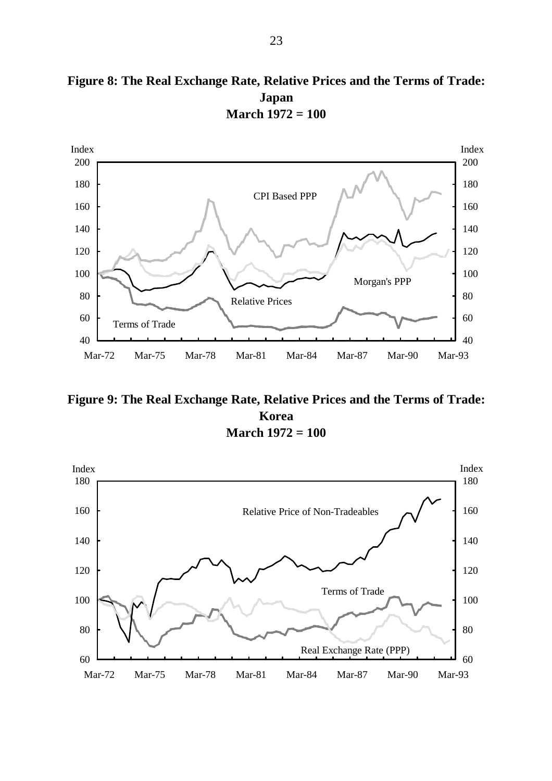



**Figure 9: The Real Exchange Rate, Relative Prices and the Terms of Trade: Korea March 1972 = 100**

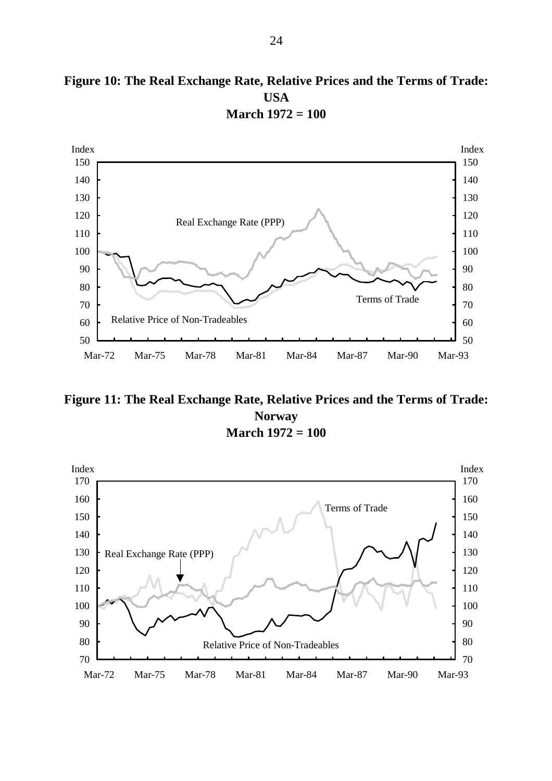



**Figure 11: The Real Exchange Rate, Relative Prices and the Terms of Trade: Norway March 1972 = 100**

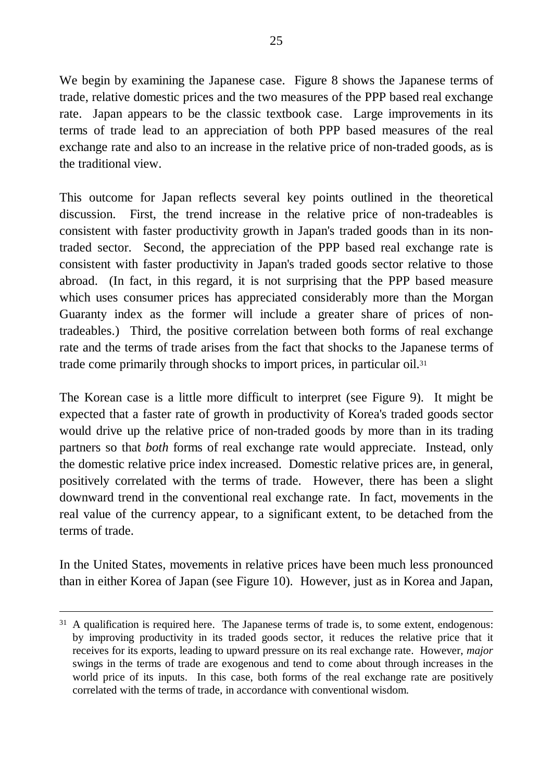We begin by examining the Japanese case. Figure 8 shows the Japanese terms of trade, relative domestic prices and the two measures of the PPP based real exchange rate. Japan appears to be the classic textbook case. Large improvements in its terms of trade lead to an appreciation of both PPP based measures of the real exchange rate and also to an increase in the relative price of non-traded goods, as is the traditional view.

This outcome for Japan reflects several key points outlined in the theoretical discussion. First, the trend increase in the relative price of non-tradeables is consistent with faster productivity growth in Japan's traded goods than in its nontraded sector. Second, the appreciation of the PPP based real exchange rate is consistent with faster productivity in Japan's traded goods sector relative to those abroad. (In fact, in this regard, it is not surprising that the PPP based measure which uses consumer prices has appreciated considerably more than the Morgan Guaranty index as the former will include a greater share of prices of nontradeables.) Third, the positive correlation between both forms of real exchange rate and the terms of trade arises from the fact that shocks to the Japanese terms of trade come primarily through shocks to import prices, in particular oil.<sup>31</sup>

The Korean case is a little more difficult to interpret (see Figure 9). It might be expected that a faster rate of growth in productivity of Korea's traded goods sector would drive up the relative price of non-traded goods by more than in its trading partners so that *both* forms of real exchange rate would appreciate. Instead, only the domestic relative price index increased. Domestic relative prices are, in general, positively correlated with the terms of trade. However, there has been a slight downward trend in the conventional real exchange rate. In fact, movements in the real value of the currency appear, to a significant extent, to be detached from the terms of trade.

In the United States, movements in relative prices have been much less pronounced than in either Korea of Japan (see Figure 10). However, just as in Korea and Japan,

<sup>&</sup>lt;sup>31</sup> A qualification is required here. The Japanese terms of trade is, to some extent, endogenous: by improving productivity in its traded goods sector, it reduces the relative price that it receives for its exports, leading to upward pressure on its real exchange rate. However, *major* swings in the terms of trade are exogenous and tend to come about through increases in the world price of its inputs. In this case, both forms of the real exchange rate are positively correlated with the terms of trade, in accordance with conventional wisdom.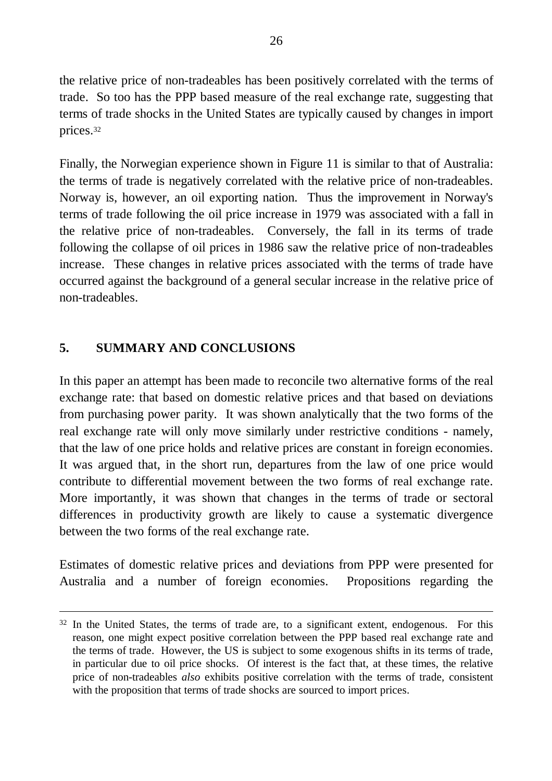the relative price of non-tradeables has been positively correlated with the terms of trade. So too has the PPP based measure of the real exchange rate, suggesting that terms of trade shocks in the United States are typically caused by changes in import prices.<sup>32</sup>

Finally, the Norwegian experience shown in Figure 11 is similar to that of Australia: the terms of trade is negatively correlated with the relative price of non-tradeables. Norway is, however, an oil exporting nation. Thus the improvement in Norway's terms of trade following the oil price increase in 1979 was associated with a fall in the relative price of non-tradeables. Conversely, the fall in its terms of trade following the collapse of oil prices in 1986 saw the relative price of non-tradeables increase. These changes in relative prices associated with the terms of trade have occurred against the background of a general secular increase in the relative price of non-tradeables.

## **5. SUMMARY AND CONCLUSIONS**

-

In this paper an attempt has been made to reconcile two alternative forms of the real exchange rate: that based on domestic relative prices and that based on deviations from purchasing power parity. It was shown analytically that the two forms of the real exchange rate will only move similarly under restrictive conditions - namely, that the law of one price holds and relative prices are constant in foreign economies. It was argued that, in the short run, departures from the law of one price would contribute to differential movement between the two forms of real exchange rate. More importantly, it was shown that changes in the terms of trade or sectoral differences in productivity growth are likely to cause a systematic divergence between the two forms of the real exchange rate.

Estimates of domestic relative prices and deviations from PPP were presented for Australia and a number of foreign economies. Propositions regarding the

<sup>&</sup>lt;sup>32</sup> In the United States, the terms of trade are, to a significant extent, endogenous. For this reason, one might expect positive correlation between the PPP based real exchange rate and the terms of trade. However, the US is subject to some exogenous shifts in its terms of trade, in particular due to oil price shocks. Of interest is the fact that, at these times, the relative price of non-tradeables *also* exhibits positive correlation with the terms of trade, consistent with the proposition that terms of trade shocks are sourced to import prices.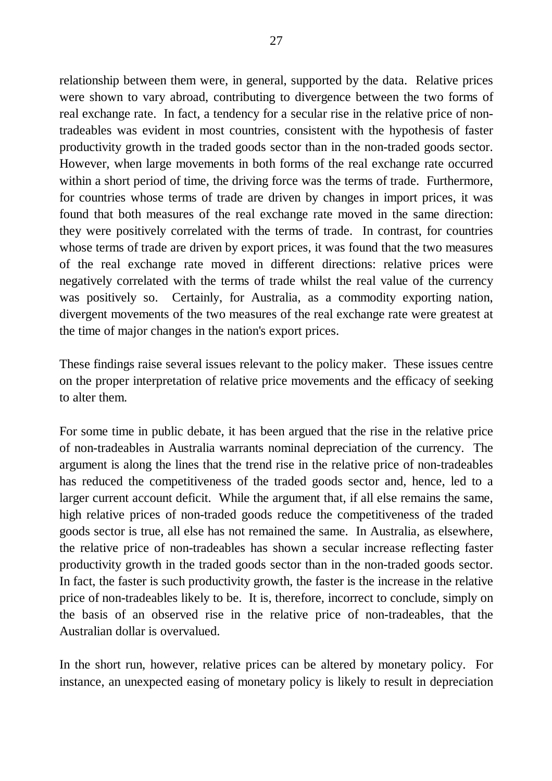relationship between them were, in general, supported by the data. Relative prices were shown to vary abroad, contributing to divergence between the two forms of real exchange rate. In fact, a tendency for a secular rise in the relative price of nontradeables was evident in most countries, consistent with the hypothesis of faster productivity growth in the traded goods sector than in the non-traded goods sector. However, when large movements in both forms of the real exchange rate occurred within a short period of time, the driving force was the terms of trade. Furthermore, for countries whose terms of trade are driven by changes in import prices, it was found that both measures of the real exchange rate moved in the same direction: they were positively correlated with the terms of trade. In contrast, for countries whose terms of trade are driven by export prices, it was found that the two measures of the real exchange rate moved in different directions: relative prices were negatively correlated with the terms of trade whilst the real value of the currency was positively so. Certainly, for Australia, as a commodity exporting nation, divergent movements of the two measures of the real exchange rate were greatest at the time of major changes in the nation's export prices.

These findings raise several issues relevant to the policy maker. These issues centre on the proper interpretation of relative price movements and the efficacy of seeking to alter them.

For some time in public debate, it has been argued that the rise in the relative price of non-tradeables in Australia warrants nominal depreciation of the currency. The argument is along the lines that the trend rise in the relative price of non-tradeables has reduced the competitiveness of the traded goods sector and, hence, led to a larger current account deficit. While the argument that, if all else remains the same, high relative prices of non-traded goods reduce the competitiveness of the traded goods sector is true, all else has not remained the same. In Australia, as elsewhere, the relative price of non-tradeables has shown a secular increase reflecting faster productivity growth in the traded goods sector than in the non-traded goods sector. In fact, the faster is such productivity growth, the faster is the increase in the relative price of non-tradeables likely to be. It is, therefore, incorrect to conclude, simply on the basis of an observed rise in the relative price of non-tradeables, that the Australian dollar is overvalued.

In the short run, however, relative prices can be altered by monetary policy. For instance, an unexpected easing of monetary policy is likely to result in depreciation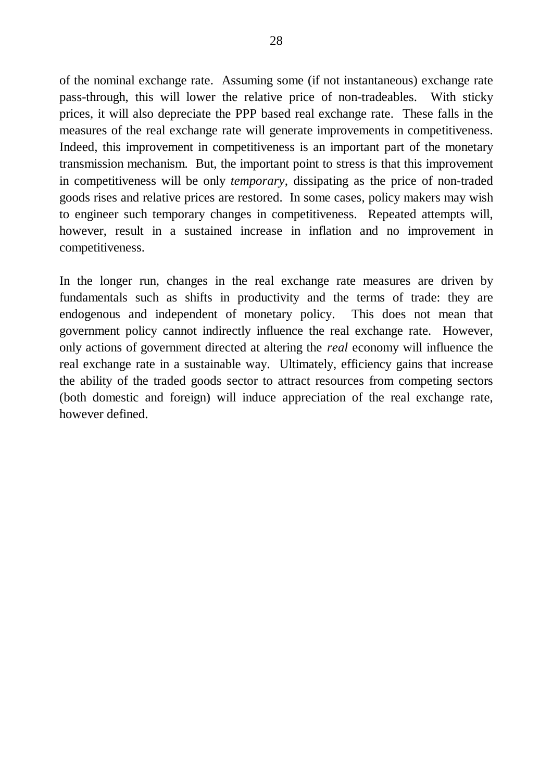of the nominal exchange rate. Assuming some (if not instantaneous) exchange rate pass-through, this will lower the relative price of non-tradeables. With sticky prices, it will also depreciate the PPP based real exchange rate. These falls in the measures of the real exchange rate will generate improvements in competitiveness. Indeed, this improvement in competitiveness is an important part of the monetary transmission mechanism. But, the important point to stress is that this improvement in competitiveness will be only *temporary*, dissipating as the price of non-traded goods rises and relative prices are restored. In some cases, policy makers may wish to engineer such temporary changes in competitiveness. Repeated attempts will, however, result in a sustained increase in inflation and no improvement in competitiveness.

In the longer run, changes in the real exchange rate measures are driven by fundamentals such as shifts in productivity and the terms of trade: they are endogenous and independent of monetary policy. This does not mean that government policy cannot indirectly influence the real exchange rate. However, only actions of government directed at altering the *real* economy will influence the real exchange rate in a sustainable way. Ultimately, efficiency gains that increase the ability of the traded goods sector to attract resources from competing sectors (both domestic and foreign) will induce appreciation of the real exchange rate, however defined.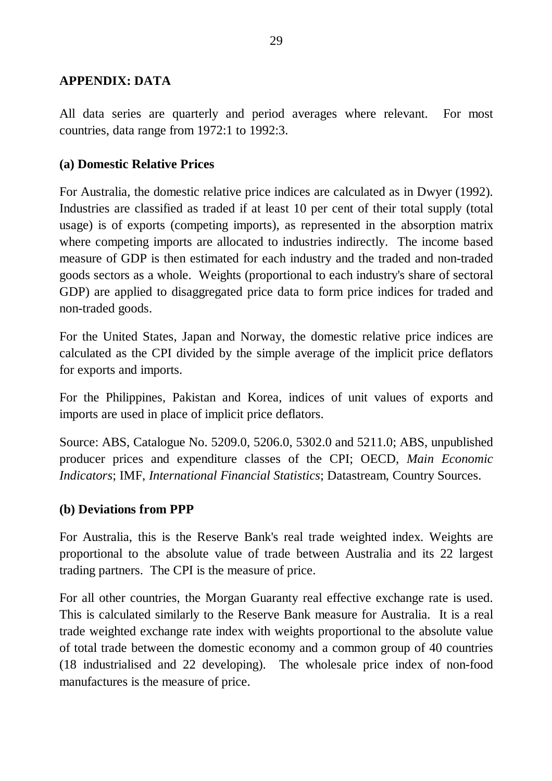## **APPENDIX: DATA**

All data series are quarterly and period averages where relevant. For most countries, data range from 1972:1 to 1992:3.

## **(a) Domestic Relative Prices**

For Australia, the domestic relative price indices are calculated as in Dwyer (1992). Industries are classified as traded if at least 10 per cent of their total supply (total usage) is of exports (competing imports), as represented in the absorption matrix where competing imports are allocated to industries indirectly. The income based measure of GDP is then estimated for each industry and the traded and non-traded goods sectors as a whole. Weights (proportional to each industry's share of sectoral GDP) are applied to disaggregated price data to form price indices for traded and non-traded goods.

For the United States, Japan and Norway, the domestic relative price indices are calculated as the CPI divided by the simple average of the implicit price deflators for exports and imports.

For the Philippines, Pakistan and Korea, indices of unit values of exports and imports are used in place of implicit price deflators.

Source: ABS, Catalogue No. 5209.0, 5206.0, 5302.0 and 5211.0; ABS, unpublished producer prices and expenditure classes of the CPI; OECD, *Main Economic Indicators*; IMF, *International Financial Statistics*; Datastream, Country Sources.

### **(b) Deviations from PPP**

For Australia, this is the Reserve Bank's real trade weighted index. Weights are proportional to the absolute value of trade between Australia and its 22 largest trading partners. The CPI is the measure of price.

For all other countries, the Morgan Guaranty real effective exchange rate is used. This is calculated similarly to the Reserve Bank measure for Australia. It is a real trade weighted exchange rate index with weights proportional to the absolute value of total trade between the domestic economy and a common group of 40 countries (18 industrialised and 22 developing). The wholesale price index of non-food manufactures is the measure of price.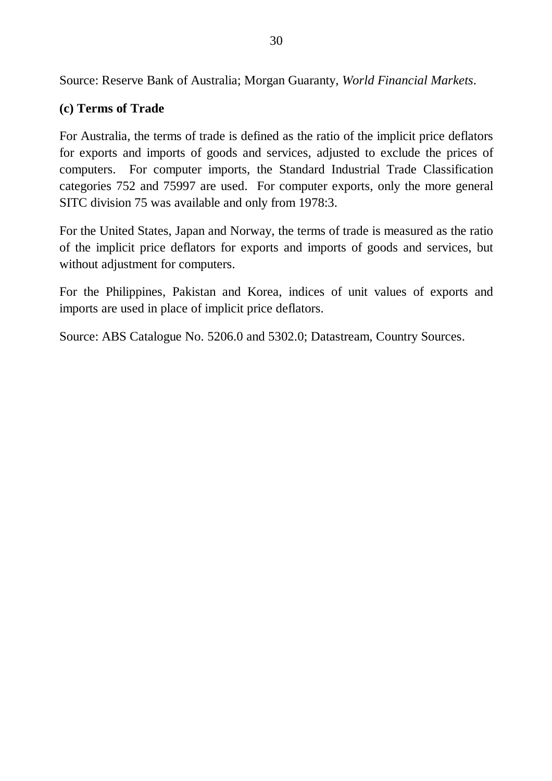Source: Reserve Bank of Australia; Morgan Guaranty, *World Financial Markets*.

## **(c) Terms of Trade**

For Australia, the terms of trade is defined as the ratio of the implicit price deflators for exports and imports of goods and services, adjusted to exclude the prices of computers. For computer imports, the Standard Industrial Trade Classification categories 752 and 75997 are used. For computer exports, only the more general SITC division 75 was available and only from 1978:3.

For the United States, Japan and Norway, the terms of trade is measured as the ratio of the implicit price deflators for exports and imports of goods and services, but without adjustment for computers.

For the Philippines, Pakistan and Korea, indices of unit values of exports and imports are used in place of implicit price deflators.

Source: ABS Catalogue No. 5206.0 and 5302.0; Datastream, Country Sources.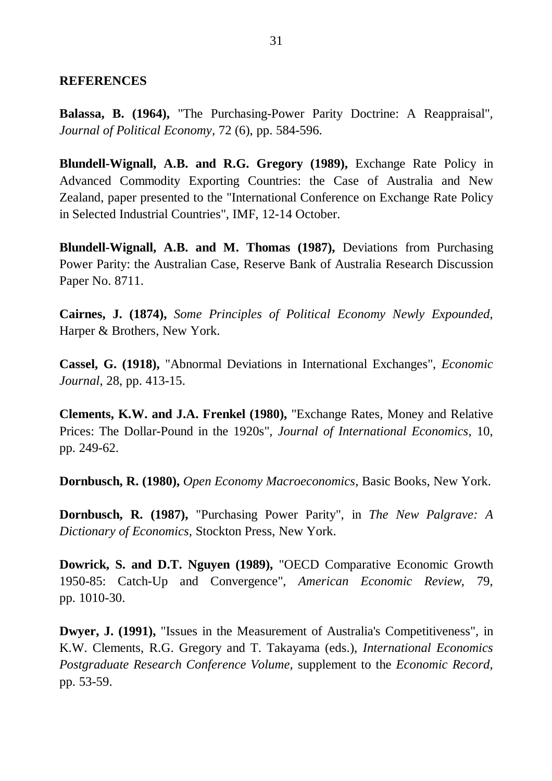#### **REFERENCES**

**Balassa, B. (1964),** "The Purchasing-Power Parity Doctrine: A Reappraisal"*, Journal of Political Economy,* 72 (6), pp. 584-596.

**Blundell-Wignall, A.B. and R.G. Gregory (1989),** Exchange Rate Policy in Advanced Commodity Exporting Countries: the Case of Australia and New Zealand, paper presented to the "International Conference on Exchange Rate Policy in Selected Industrial Countries", IMF, 12-14 October.

**Blundell-Wignall, A.B. and M. Thomas (1987),** Deviations from Purchasing Power Parity: the Australian Case, Reserve Bank of Australia Research Discussion Paper No. 8711.

**Cairnes, J. (1874),** *Some Principles of Political Economy Newly Expounded*, Harper & Brothers, New York.

**Cassel, G. (1918),** "Abnormal Deviations in International Exchanges", *Economic Journal*, 28, pp. 413-15.

**Clements, K.W. and J.A. Frenkel (1980),** "Exchange Rates, Money and Relative Prices: The Dollar-Pound in the 1920s", *Journal of International Economics*, 10, pp. 249-62.

**Dornbusch, R. (1980),** *Open Economy Macroeconomics,* Basic Books, New York.

**Dornbusch, R. (1987),** "Purchasing Power Parity", in *The New Palgrave: A Dictionary of Economics,* Stockton Press, New York.

**Dowrick, S. and D.T. Nguyen (1989),** "OECD Comparative Economic Growth 1950-85: Catch-Up and Convergence", *American Economic Review*, 79, pp. 1010-30.

**Dwyer, J. (1991),** "Issues in the Measurement of Australia's Competitiveness", in K.W. Clements, R.G. Gregory and T. Takayama (eds.), *International Economics Postgraduate Research Conference Volume,* supplement to the *Economic Record,* pp. 53-59.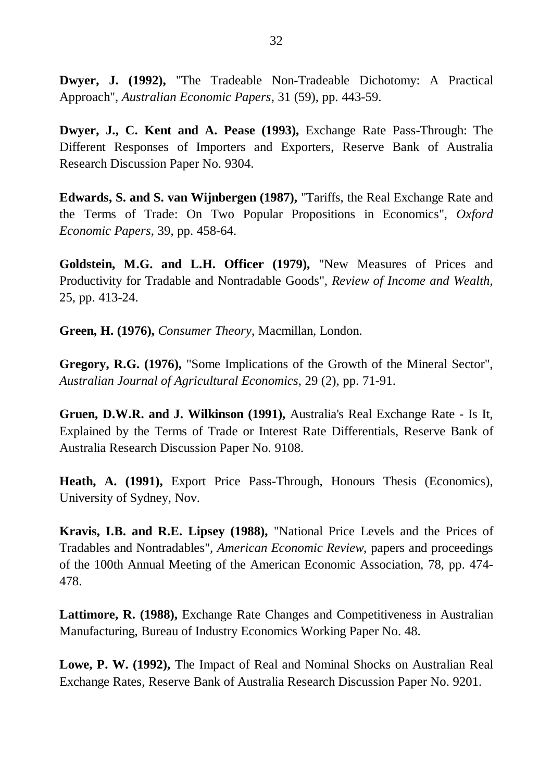**Dwyer, J. (1992),** "The Tradeable Non-Tradeable Dichotomy: A Practical Approach", *Australian Economic Papers*, 31 (59), pp. 443-59.

**Dwyer, J., C. Kent and A. Pease (1993),** Exchange Rate Pass-Through: The Different Responses of Importers and Exporters, Reserve Bank of Australia Research Discussion Paper No. 9304.

**Edwards, S. and S. van Wijnbergen (1987),** "Tariffs, the Real Exchange Rate and the Terms of Trade: On Two Popular Propositions in Economics", *Oxford Economic Papers*, 39, pp. 458-64.

**Goldstein, M.G. and L.H. Officer (1979),** "New Measures of Prices and Productivity for Tradable and Nontradable Goods"*, Review of Income and Wealth,* 25, pp. 413-24.

**Green, H. (1976),** *Consumer Theory*, Macmillan, London.

**Gregory, R.G. (1976),** "Some Implications of the Growth of the Mineral Sector", *Australian Journal of Agricultural Economics*, 29 (2), pp. 71-91.

**Gruen, D.W.R. and J. Wilkinson (1991),** Australia's Real Exchange Rate - Is It, Explained by the Terms of Trade or Interest Rate Differentials, Reserve Bank of Australia Research Discussion Paper No. 9108.

**Heath, A. (1991),** Export Price Pass-Through, Honours Thesis (Economics), University of Sydney, Nov.

**Kravis, I.B. and R.E. Lipsey (1988),** "National Price Levels and the Prices of Tradables and Nontradables"*, American Economic Review*, papers and proceedings of the 100th Annual Meeting of the American Economic Association*,* 78, pp. 474- 478.

**Lattimore, R. (1988),** Exchange Rate Changes and Competitiveness in Australian Manufacturing, Bureau of Industry Economics Working Paper No. 48.

**Lowe, P. W. (1992),** The Impact of Real and Nominal Shocks on Australian Real Exchange Rates, Reserve Bank of Australia Research Discussion Paper No. 9201.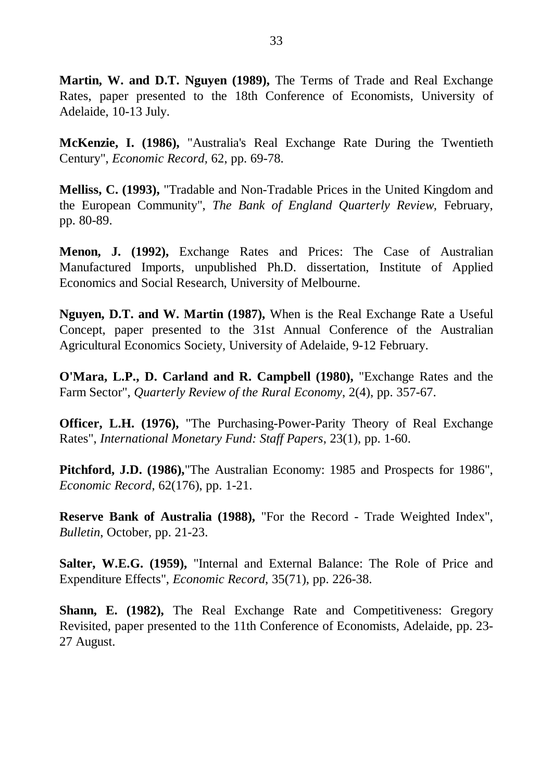**Martin, W. and D.T. Nguyen (1989),** The Terms of Trade and Real Exchange Rates, paper presented to the 18th Conference of Economists, University of Adelaide, 10-13 July.

**McKenzie, I. (1986),** "Australia's Real Exchange Rate During the Twentieth Century", *Economic Record,* 62, pp. 69-78.

**Melliss, C. (1993),** "Tradable and Non-Tradable Prices in the United Kingdom and the European Community", *The Bank of England Quarterly Review,* February, pp. 80-89.

**Menon, J. (1992),** Exchange Rates and Prices: The Case of Australian Manufactured Imports, unpublished Ph.D. dissertation, Institute of Applied Economics and Social Research, University of Melbourne.

**Nguyen, D.T. and W. Martin (1987),** When is the Real Exchange Rate a Useful Concept, paper presented to the 31st Annual Conference of the Australian Agricultural Economics Society, University of Adelaide, 9-12 February.

**O'Mara, L.P., D. Carland and R. Campbell (1980),** "Exchange Rates and the Farm Sector", *Quarterly Review of the Rural Economy*, 2(4), pp. 357-67.

**Officer, L.H. (1976),** "The Purchasing-Power-Parity Theory of Real Exchange Rates", *International Monetary Fund: Staff Papers*, 23(1), pp. 1-60.

**Pitchford, J.D. (1986),**"The Australian Economy: 1985 and Prospects for 1986", *Economic Record*, 62(176), pp. 1-21.

**Reserve Bank of Australia (1988),** "For the Record - Trade Weighted Index", *Bulletin*, October, pp. 21-23.

**Salter, W.E.G. (1959),** "Internal and External Balance: The Role of Price and Expenditure Effects", *Economic Record*, 35(71), pp. 226-38.

**Shann, E. (1982),** The Real Exchange Rate and Competitiveness: Gregory Revisited, paper presented to the 11th Conference of Economists, Adelaide, pp. 23- 27 August.